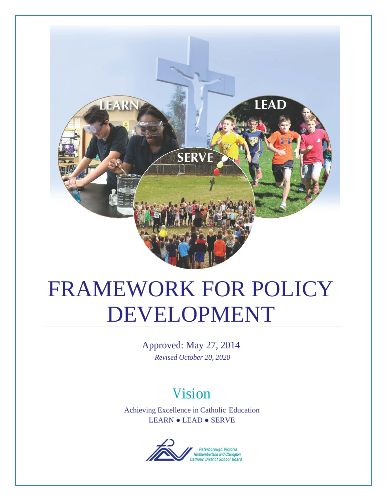

# FRAMEWORK FOR POLICY DEVELOPMENT

Approved: May 27, 2014 *Revised October 20, 2020*

# Vision

Achieving Excellence in Catholic Education LEARN ● LEAD ● SERVE

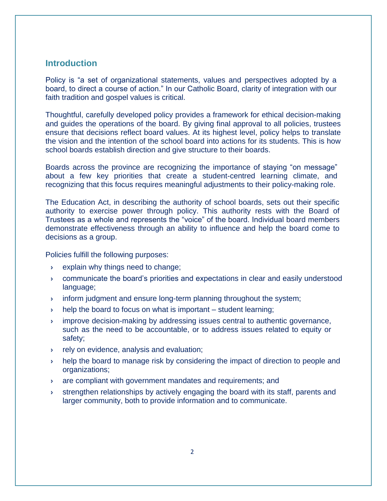# **Introduction**

Policy is "a set of organizational statements, values and perspectives adopted by a board, to direct a course of action." In our Catholic Board, clarity of integration with our faith tradition and gospel values is critical.

Thoughtful, carefully developed policy provides a framework for ethical decision-making and guides the operations of the board. By giving final approval to all policies, trustees ensure that decisions reflect board values. At its highest level, policy helps to translate the vision and the intention of the school board into actions for its students. This is how school boards establish direction and give structure to their boards.

Boards across the province are recognizing the importance of staying "on message" about a few key priorities that create a student-centred learning climate, and recognizing that this focus requires meaningful adjustments to their policy-making role.

The Education Act, in describing the authority of school boards, sets out their specific authority to exercise power through policy. This authority rests with the Board of Trustees as a whole and represents the "voice" of the board. Individual board members demonstrate effectiveness through an ability to influence and help the board come to decisions as a group.

Policies fulfill the following purposes:

- explain why things need to change;
- communicate the board's priorities and expectations in clear and easily understood language;
- **inform judgment and ensure long-term planning throughout the system;**
- $\rightarrow$  help the board to focus on what is important student learning;
- improve decision-making by addressing issues central to authentic governance, such as the need to be accountable, or to address issues related to equity or safety;
- **Fig.** rely on evidence, analysis and evaluation;
- **help the board to manage risk by considering the impact of direction to people and** organizations;
- are compliant with government mandates and requirements; and
- strengthen relationships by actively engaging the board with its staff, parents and larger community, both to provide information and to communicate.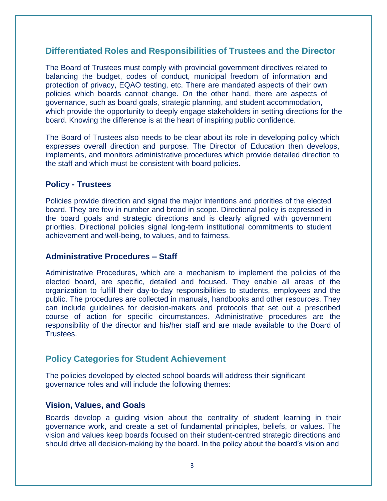# **Differentiated Roles and Responsibilities of Trustees and the Director**

The Board of Trustees must comply with provincial government directives related to balancing the budget, codes of conduct, municipal freedom of information and protection of privacy, EQAO testing, etc. There are mandated aspects of their own policies which boards cannot change. On the other hand, there are aspects of governance, such as board goals, strategic planning, and student accommodation, which provide the opportunity to deeply engage stakeholders in setting directions for the board. Knowing the difference is at the heart of inspiring public confidence.

The Board of Trustees also needs to be clear about its role in developing policy which expresses overall direction and purpose. The Director of Education then develops, implements, and monitors administrative procedures which provide detailed direction to the staff and which must be consistent with board policies.

#### **Policy - Trustees**

Policies provide direction and signal the major intentions and priorities of the elected board. They are few in number and broad in scope. Directional policy is expressed in the board goals and strategic directions and is clearly aligned with government priorities. Directional policies signal long-term institutional commitments to student achievement and well-being, to values, and to fairness.

#### **Administrative Procedures – Staff**

Administrative Procedures, which are a mechanism to implement the policies of the elected board, are specific, detailed and focused. They enable all areas of the organization to fulfill their day-to-day responsibilities to students, employees and the public. The procedures are collected in manuals, handbooks and other resources. They can include guidelines for decision-makers and protocols that set out a prescribed course of action for specific circumstances. Administrative procedures are the responsibility of the director and his/her staff and are made available to the Board of Trustees.

# **Policy Categories for Student Achievement**

The policies developed by elected school boards will address their significant governance roles and will include the following themes:

# **Vision, Values, and Goals**

Boards develop a guiding vision about the centrality of student learning in their governance work, and create a set of fundamental principles, beliefs, or values. The vision and values keep boards focused on their student-centred strategic directions and should drive all decision-making by the board. In the policy about the board's vision and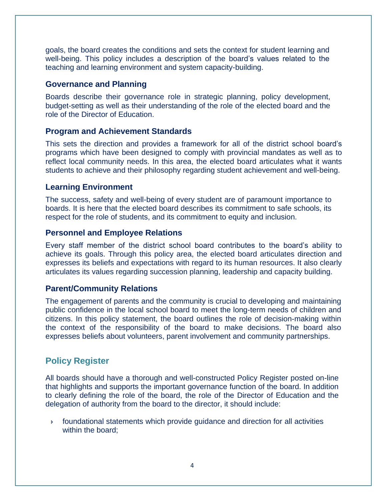goals, the board creates the conditions and sets the context for student learning and well-being. This policy includes a description of the board's values related to the teaching and learning environment and system capacity-building.

#### **Governance and Planning**

Boards describe their governance role in strategic planning, policy development, budget-setting as well as their understanding of the role of the elected board and the role of the Director of Education.

# **Program and Achievement Standards**

This sets the direction and provides a framework for all of the district school board's programs which have been designed to comply with provincial mandates as well as to reflect local community needs. In this area, the elected board articulates what it wants students to achieve and their philosophy regarding student achievement and well-being.

# **Learning Environment**

The success, safety and well-being of every student are of paramount importance to boards. It is here that the elected board describes its commitment to safe schools, its respect for the role of students, and its commitment to equity and inclusion.

# **Personnel and Employee Relations**

Every staff member of the district school board contributes to the board's ability to achieve its goals. Through this policy area, the elected board articulates direction and expresses its beliefs and expectations with regard to its human resources. It also clearly articulates its values regarding succession planning, leadership and capacity building.

# **Parent/Community Relations**

The engagement of parents and the community is crucial to developing and maintaining public confidence in the local school board to meet the long-term needs of children and citizens. In this policy statement, the board outlines the role of decision-making within the context of the responsibility of the board to make decisions. The board also expresses beliefs about volunteers, parent involvement and community partnerships.

# **Policy Register**

All boards should have a thorough and well-constructed Policy Register posted on-line that highlights and supports the important governance function of the board. In addition to clearly defining the role of the board, the role of the Director of Education and the delegation of authority from the board to the director, it should include:

 foundational statements which provide guidance and direction for all activities within the board;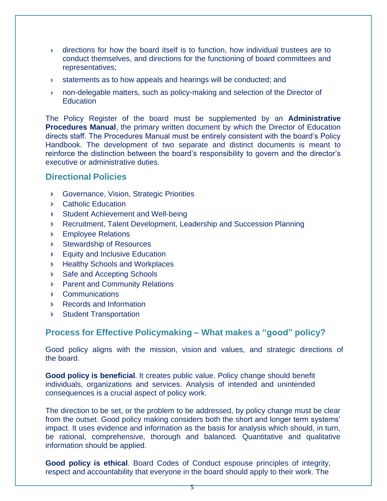- $\rightarrow$  directions for how the board itself is to function, how individual trustees are to conduct themselves, and directions for the functioning of board committees and representatives;
- statements as to how appeals and hearings will be conducted; and
- non-delegable matters, such as policy-making and selection of the Director of **Education**

The Policy Register of the board must be supplemented by an **Administrative Procedures Manual**, the primary written document by which the Director of Education directs staff. The Procedures Manual must be entirely consistent with the board's Policy Handbook. The development of two separate and distinct documents is meant to reinforce the distinction between the board's responsibility to govern and the director's executive or administrative duties.

# **Directional Policies**

- Governance, Vision, Strategic Priorities
- **Catholic Education**
- **Student Achievement and Well-being**
- Recruitment, Talent Development, Leadership and Succession Planning
- **Employee Relations**
- **Stewardship of Resources**
- **Equity and Inclusive Education**
- **Healthy Schools and Workplaces**
- **Safe and Accepting Schools**
- **Parent and Community Relations**
- Communications
- Records and Information
- Student Transportation

# **Process for Effective Policymaking – What makes a "good" policy?**

Good policy aligns with the mission, vision and values, and strategic directions of the board.

**Good policy is beneficial**. It creates public value. Policy change should benefit individuals, organizations and services. Analysis of intended and unintended consequences is a crucial aspect of policy work.

The direction to be set, or the problem to be addressed, by policy change must be clear from the outset. Good policy making considers both the short and longer term systems' impact. It uses evidence and information as the basis for analysis which should, in turn, be rational, comprehensive, thorough and balanced. Quantitative and qualitative information should be applied.

**Good policy is ethical**. Board Codes of Conduct espouse principles of integrity, respect and accountability that everyone in the board should apply to their work. The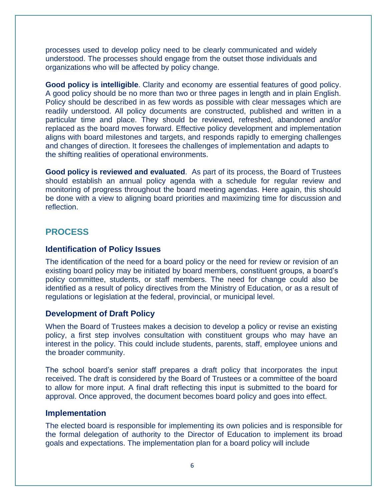processes used to develop policy need to be clearly communicated and widely understood. The processes should engage from the outset those individuals and organizations who will be affected by policy change.

**Good policy is intelligible**. Clarity and economy are essential features of good policy. A good policy should be no more than two or three pages in length and in plain English. Policy should be described in as few words as possible with clear messages which are readily understood. All policy documents are constructed, published and written in a particular time and place. They should be reviewed, refreshed, abandoned and/or replaced as the board moves forward. Effective policy development and implementation aligns with board milestones and targets, and responds rapidly to emerging challenges and changes of direction. It foresees the challenges of implementation and adapts to the shifting realities of operational environments.

**Good policy is reviewed and evaluated**. As part of its process, the Board of Trustees should establish an annual policy agenda with a schedule for regular review and monitoring of progress throughout the board meeting agendas. Here again, this should be done with a view to aligning board priorities and maximizing time for discussion and reflection.

# **PROCESS**

#### **Identification of Policy Issues**

The identification of the need for a board policy or the need for review or revision of an existing board policy may be initiated by board members, constituent groups, a board's policy committee, students, or staff members. The need for change could also be identified as a result of policy directives from the Ministry of Education, or as a result of regulations or legislation at the federal, provincial, or municipal level.

#### **Development of Draft Policy**

When the Board of Trustees makes a decision to develop a policy or revise an existing policy, a first step involves consultation with constituent groups who may have an interest in the policy. This could include students, parents, staff, employee unions and the broader community.

The school board's senior staff prepares a draft policy that incorporates the input received. The draft is considered by the Board of Trustees or a committee of the board to allow for more input. A final draft reflecting this input is submitted to the board for approval. Once approved, the document becomes board policy and goes into effect.

#### **Implementation**

The elected board is responsible for implementing its own policies and is responsible for the formal delegation of authority to the Director of Education to implement its broad goals and expectations. The implementation plan for a board policy will include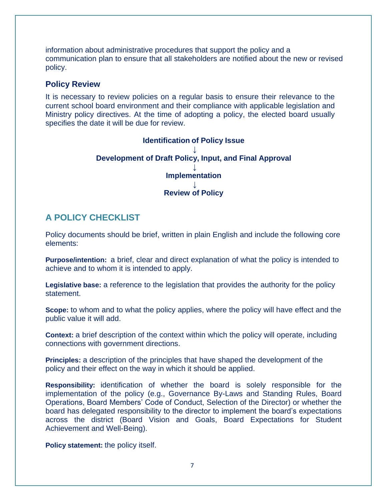information about administrative procedures that support the policy and a communication plan to ensure that all stakeholders are notified about the new or revised policy.

#### **Policy Review**

It is necessary to review policies on a regular basis to ensure their relevance to the current school board environment and their compliance with applicable legislation and Ministry policy directives. At the time of adopting a policy, the elected board usually specifies the date it will be due for review.

#### **Identification of Policy Issue ↓ Development of Draft Policy, Input, and Final Approval ↓ Implementation ↓ Review of Policy**

# **A POLICY CHECKLIST**

Policy documents should be brief, written in plain English and include the following core elements:

**Purpose/intention:** a brief, clear and direct explanation of what the policy is intended to achieve and to whom it is intended to apply.

**Legislative base:** a reference to the legislation that provides the authority for the policy statement.

**Scope:** to whom and to what the policy applies, where the policy will have effect and the public value it will add.

**Context:** a brief description of the context within which the policy will operate, including connections with government directions.

**Principles:** a description of the principles that have shaped the development of the policy and their effect on the way in which it should be applied.

**Responsibility:** identification of whether the board is solely responsible for the implementation of the policy (e.g., Governance By-Laws and Standing Rules, Board Operations, Board Members' Code of Conduct, Selection of the Director) or whether the board has delegated responsibility to the director to implement the board's expectations across the district (Board Vision and Goals, Board Expectations for Student Achievement and Well-Being).

**Policy statement:** the policy itself.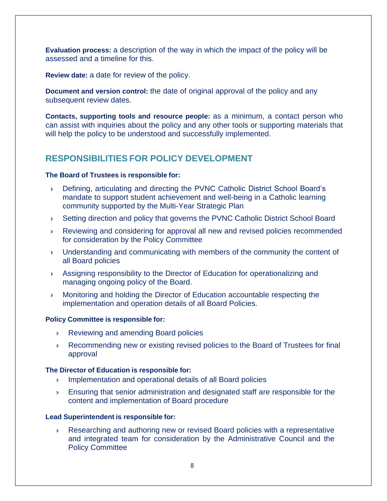**Evaluation process:** a description of the way in which the impact of the policy will be assessed and a timeline for this.

**Review date:** a date for review of the policy.

**Document and version control:** the date of original approval of the policy and any subsequent review dates.

**Contacts, supporting tools and resource people:** as a minimum, a contact person who can assist with inquiries about the policy and any other tools or supporting materials that will help the policy to be understood and successfully implemented.

# **RESPONSIBILITIES FOR POLICY DEVELOPMENT**

#### **The Board of Trustees is responsible for:**

- Defining, articulating and directing the PVNC Catholic District School Board's mandate to support student achievement and well-being in a Catholic learning community supported by the Multi-Year Strategic Plan
- Setting direction and policy that governs the PVNC Catholic District School Board
- Reviewing and considering for approval all new and revised policies recommended for consideration by the Policy Committee
- Understanding and communicating with members of the community the content of all Board policies
- Assigning responsibility to the Director of Education for operationalizing and managing ongoing policy of the Board.
- Monitoring and holding the Director of Education accountable respecting the implementation and operation details of all Board Policies.

#### **Policy Committee is responsible for:**

- **Reviewing and amending Board policies**
- **Recommending new or existing revised policies to the Board of Trustees for final** approval

#### **The Director of Education is responsible for:**

- **Implementation and operational details of all Board policies**
- Ensuring that senior administration and designated staff are responsible for the content and implementation of Board procedure

#### **Lead Superintendent is responsible for:**

 Researching and authoring new or revised Board policies with a representative and integrated team for consideration by the Administrative Council and the Policy Committee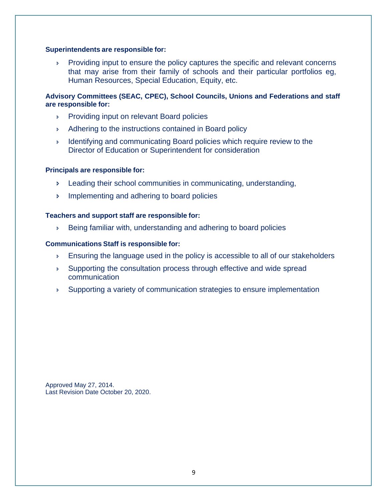#### **Superintendents are responsible for:**

Providing input to ensure the policy captures the specific and relevant concerns that may arise from their family of schools and their particular portfolios eg, Human Resources, Special Education, Equity, etc.

#### **Advisory Committees (SEAC, CPEC), School Councils, Unions and Federations and staff are responsible for:**

- **Providing input on relevant Board policies**
- Adhering to the instructions contained in Board policy
- **I** Identifying and communicating Board policies which require review to the Director of Education or Superintendent for consideration

#### **Principals are responsible for:**

- Leading their school communities in communicating, understanding,
- **Implementing and adhering to board policies**

#### **Teachers and support staff are responsible for:**

Being familiar with, understanding and adhering to board policies

#### **Communications Staff is responsible for:**

- **Ensuring the language used in the policy is accessible to all of our stakeholders**
- Supporting the consultation process through effective and wide spread communication
- Supporting a variety of communication strategies to ensure implementation

Approved May 27, 2014. Last Revision Date October 20, 2020.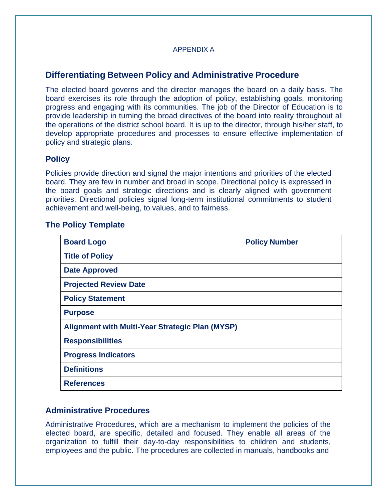#### APPENDIX A

# **Differentiating Between Policy and Administrative Procedure**

The elected board governs and the director manages the board on a daily basis. The board exercises its role through the adoption of policy, establishing goals, monitoring progress and engaging with its communities. The job of the Director of Education is to provide leadership in turning the broad directives of the board into reality throughout all the operations of the district school board. It is up to the director, through his/her staff, to develop appropriate procedures and processes to ensure effective implementation of policy and strategic plans.

#### **Policy**

Policies provide direction and signal the major intentions and priorities of the elected board. They are few in number and broad in scope. Directional policy is expressed in the board goals and strategic directions and is clearly aligned with government priorities. Directional policies signal long-term institutional commitments to student achievement and well-being, to values, and to fairness.

#### **The Policy Template**

| <b>Board Logo</b>                                      | <b>Policy Number</b> |
|--------------------------------------------------------|----------------------|
| <b>Title of Policy</b>                                 |                      |
| <b>Date Approved</b>                                   |                      |
| <b>Projected Review Date</b>                           |                      |
| <b>Policy Statement</b>                                |                      |
| <b>Purpose</b>                                         |                      |
| <b>Alignment with Multi-Year Strategic Plan (MYSP)</b> |                      |
| <b>Responsibilities</b>                                |                      |
| <b>Progress Indicators</b>                             |                      |
| <b>Definitions</b>                                     |                      |
| <b>References</b>                                      |                      |

# **Administrative Procedures**

Administrative Procedures, which are a mechanism to implement the policies of the elected board, are specific, detailed and focused. They enable all areas of the organization to fulfill their day-to-day responsibilities to children and students, employees and the public. The procedures are collected in manuals, handbooks and